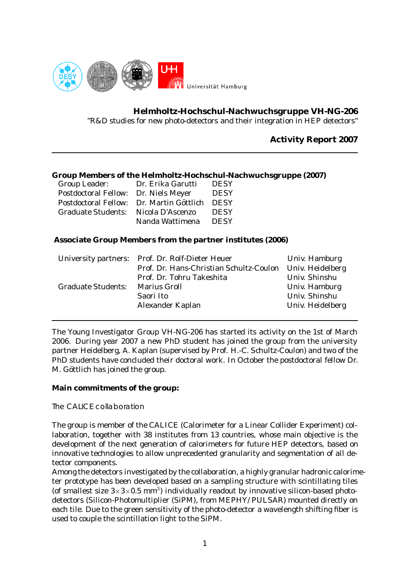

**Helmholtz-Hochschul-Nachwuchsgruppe VH-NG-206**

"R&D studies for new photo-detectors and their integration in HEP detectors"

# **Activity Report 2007**

# **Group Members of the Helmholtz-Hochschul-Nachwuchsgruppe (2007)**

| Group Leader:                            | Dr. Erika Garutti | <b>DESY</b> |
|------------------------------------------|-------------------|-------------|
| <b>Postdoctoral Fellow:</b>              | Dr. Niels Meyer   | <b>DESY</b> |
| Postdoctoral Fellow: Dr. Martin Göttlich |                   | <b>DESY</b> |
| <b>Graduate Students:</b>                | Nicola D'Ascenzo  | <b>DESY</b> |
|                                          | Nanda Wattimena   | <b>DESY</b> |

# **Associate Group Members from the partner institutes (2006)**

|                           | University partners: Prof. Dr. Rolf-Dieter Heuer | Univ. Hamburg    |
|---------------------------|--------------------------------------------------|------------------|
|                           | Prof. Dr. Hans-Christian Schultz-Coulon          | Univ. Heidelberg |
|                           | Prof. Dr. Tohru Takeshita                        | Univ. Shinshu    |
| <b>Graduate Students:</b> | <b>Marius Groll</b>                              | Univ. Hamburg    |
|                           | Saori Ito                                        | Univ. Shinshu    |
|                           | Alexander Kaplan                                 | Univ. Heidelberg |
|                           |                                                  |                  |

The Young Investigator Group VH-NG-206 has started its activity on the 1st of March 2006. During year 2007 a new PhD student has joined the group from the university partner Heidelberg, A. Kaplan (supervised by Prof. H.-C. Schultz-Coulon) and two of the PhD students have concluded their doctoral work. In October the postdoctoral fellow Dr. M. Göttlich has joined the group.

#### **Main commitments of the group:**

The CALICE collaboration

The group is member of the CALICE (Calorimeter for a Linear Collider Experiment) collaboration, together with 38 institutes from 13 countries, whose main objective is the development of the next generation of calorimeters for future HEP detectors, based on innovative technologies to allow unprecedented granularity and segmentation of all detector components.

Among the detectors investigated by the collaboration, a highly granular hadronic calorimeter prototype has been developed based on a sampling structure with scintillating tiles (of smallest size  $3\times3\times0.5$  mm<sup>3</sup>) individually readout by innovative silicon-based photodetectors (Silicon-Photomultiplier (SiPM), from MEPHY/ PULSAR) mounted directly on each tile. Due to the green sensitivity of the photo-detector a wavelength shifting fiber is used to couple the scintillation light to the SiPM.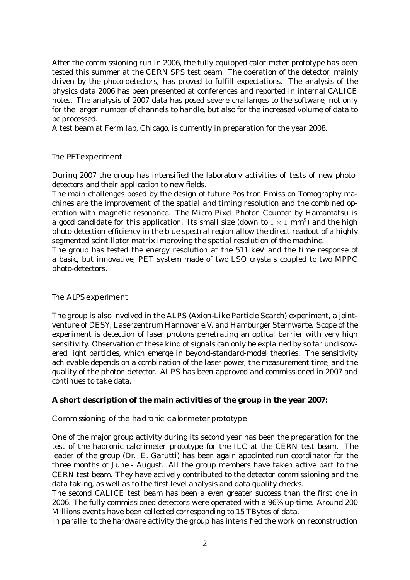After the commissioning run in 2006, the fully equipped calorimeter prototype has been tested this summer at the CERN SPS test beam. The operation of the detector, mainly driven by the photo-detectors, has proved to fulfill expectations. The analysis of the physics data 2006 has been presented at conferences and reported in internal CALICE notes. The analysis of 2007 data has posed severe challanges to the software, not only for the larger number of channels to handle, but also for the increased volume of data to be processed.

A test beam at Fermilab, Chicago, is currently in preparation for the year 2008.

#### The PET experiment

During 2007 the group has intensified the laboratory activities of tests of new photodetectors and their application to new fields.

The main challenges posed by the design of future Positron Emission Tomography machines are the improvement of the spatial and timing resolution and the combined operation with magnetic resonance. The Micro Pixel Photon Counter by Hamamatsu is a good candidate for this application. Its small size (down to  $1 \times 1$  mm<sup>2</sup>) and the high photo-detection efficiency in the blue spectral region allow the direct readout of a highly segmented scintillator matrix improving the spatial resolution of the machine.

The group has tested the energy resolution at the 511 keV and the time response of a basic, but innovative, PET system made of two LSO crystals coupled to two MPPC photo-detectors.

#### The ALPS experiment

The group is also involved in the ALPS (Axion-Like Particle Search) experiment, a jointventure of DESY, Laserzentrum Hannover e.V. and Hamburger Sternwarte. Scope of the experiment is detection of laser photons penetrating an optical barrier with very high sensitivity. Observation of these kind of signals can only be explained by so far undiscovered light particles, which emerge in beyond-standard-model theories. The sensitivity achievable depends on a combination of the laser power, the measurement time, and the quality of the photon detector. ALPS has been approved and commissioned in 2007 and continues to take data.

#### **A short description of the main activities of the group in the year 2007:**

Commissioning of the hadronic calorimeter prototype

One of the major group activity during its second year has been the preparation for the test of the hadronic calorimeter prototype for the ILC at the CERN test beam. The leader of the group (Dr. E. Garutti) has been again appointed run coordinator for the three months of June - August. All the group members have taken active part to the CERN test beam. They have actively contributed to the detector commissioning and the data taking, as well as to the first level analysis and data quality checks.

The second CALICE test beam has been a even greater success than the first one in 2006. The fully commissioned detectors were operated with a 96% up-time. Around 200 Millions events have been collected corresponding to 15 TBytes of data.

In parallel to the hardware activity the group has intensified the work on reconstruction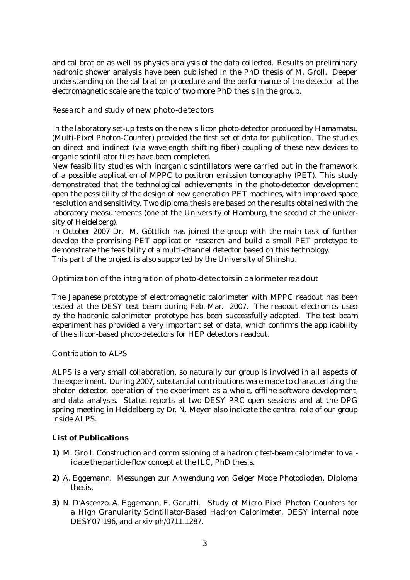and calibration as well as physics analysis of the data collected. Results on preliminary hadronic shower analysis have been published in the PhD thesis of M. Groll. Deeper understanding on the calibration procedure and the performance of the detector at the electromagnetic scale are the topic of two more PhD thesis in the group.

Research and study of new photo-detectors

In the laboratory set-up tests on the new silicon photo-detector produced by Hamamatsu (Multi-Pixel Photon-Counter) provided the first set of data for publication. The studies on direct and indirect (via wavelength shifting fiber) coupling of these new devices to organic scintillator tiles have been completed.

New feasibility studies with inorganic scintillators were carried out in the framework of a possible application of MPPC to positron emission tomography (PET). This study demonstrated that the technological achievements in the photo-detector development open the possibility of the design of new generation PET machines, with improved space resolution and sensitivity. Two diploma thesis are based on the results obtained with the laboratory measurements (one at the University of Hamburg, the second at the university of Heidelberg).

In October 2007 Dr. M. Göttlich has joined the group with the main task of further develop the promising PET application research and build a small PET prototype to demonstrate the feasibility of a multi-channel detector based on this technology. This part of the project is also supported by the University of Shinshu.

Optimization of the integration of photo-detectors in calorimeter readout

The Japanese prototype of electromagnetic calorimeter with MPPC readout has been tested at the DESY test beam during Feb.-Mar. 2007. The readout electronics used by the hadronic calorimeter prototype has been successfully adapted. The test beam experiment has provided a very important set of data, which confirms the applicability of the silicon-based photo-detectors for HEP detectors readout.

Contribution to ALPS

ALPS is a very small collaboration, so naturally our group is involved in all aspects of the experiment. During 2007, substantial contributions were made to characterizing the photon detector, operation of the experiment as a whole, offline software development, and data analysis. Status reports at two DESY PRC open sessions and at the DPG spring meeting in Heidelberg by Dr. N. Meyer also indicate the central role of our group inside ALPS.

# **List of Publications**

- **1)** M. Groll. *Construction and commissioning of a hadronic test-beam calorimeter to validate the particle-flow concept at the ILC*, PhD thesis.
- **2)** A. Eggemann. *Messungen zur Anwendung von Geiger Mode Photodioden*, Diploma thesis.
- **3)** N. D'Ascenzo, A. Eggemann, E. Garutti. *Study of Micro Pixel Photon Counters for a High Granularity Scintillator-Based Hadron Calorimeter*, DESY internal note DESY07-196, and arxiv-ph/0711.1287.